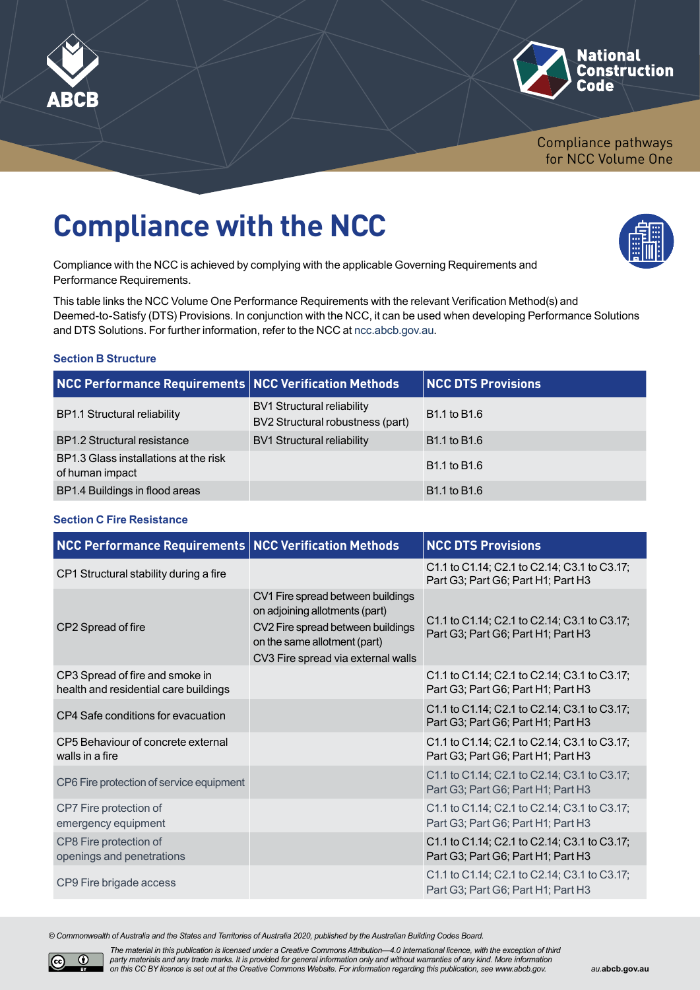



Compliance pathways for NCC Volume One

# **Compliance with the NCC**

Compliance with the NCC is achieved by complying with the applicable Governing Requirements and Performance Requirements.

This table links the NCC Volume One Performance Requirements with the relevant Verification Method(s) and Deemed-to-Satisfy (DTS) Provisions. In conjunction with the NCC, it can be used when developing Performance Solutions and DTS Solutions. For further information, refer to the NCC at [ncc.abcb.gov.au](http://ncc.abcb.gov.au).

### **Section B Structure**

| NCC Performance Requirements NCC Verification Methods    |                                                                       | <b>NCC DTS Provisions</b>            |
|----------------------------------------------------------|-----------------------------------------------------------------------|--------------------------------------|
| <b>BP1.1 Structural reliability</b>                      | <b>BV1 Structural reliability</b><br>BV2 Structural robustness (part) | B <sub>1.1</sub> to B <sub>1.6</sub> |
| <b>BP1.2 Structural resistance</b>                       | <b>BV1 Structural reliability</b>                                     | B <sub>1.1</sub> to B <sub>1.6</sub> |
| BP1.3 Glass installations at the risk<br>of human impact |                                                                       | B <sub>1.1</sub> to B <sub>1.6</sub> |
| BP1.4 Buildings in flood areas                           |                                                                       | B <sub>1.1</sub> to B <sub>1.6</sub> |

#### **Section C Fire Resistance**

| <b>NCC Performance Requirements NCC Verification Methods</b>             |                                                                                                                                                                                | <b>NCC DTS Provisions</b>                                                          |
|--------------------------------------------------------------------------|--------------------------------------------------------------------------------------------------------------------------------------------------------------------------------|------------------------------------------------------------------------------------|
| CP1 Structural stability during a fire                                   |                                                                                                                                                                                | C1.1 to C1.14; C2.1 to C2.14; C3.1 to C3.17;<br>Part G3; Part G6; Part H1; Part H3 |
| CP2 Spread of fire                                                       | CV1 Fire spread between buildings<br>on adjoining allotments (part)<br>CV2 Fire spread between buildings<br>on the same allotment (part)<br>CV3 Fire spread via external walls | C1.1 to C1.14; C2.1 to C2.14; C3.1 to C3.17;<br>Part G3; Part G6; Part H1; Part H3 |
| CP3 Spread of fire and smoke in<br>health and residential care buildings |                                                                                                                                                                                | C1.1 to C1.14; C2.1 to C2.14; C3.1 to C3.17;<br>Part G3; Part G6; Part H1; Part H3 |
| CP4 Safe conditions for evacuation                                       |                                                                                                                                                                                | C1.1 to C1.14; C2.1 to C2.14; C3.1 to C3.17;<br>Part G3; Part G6; Part H1; Part H3 |
| CP5 Behaviour of concrete external<br>walls in a fire                    |                                                                                                                                                                                | C1.1 to C1.14; C2.1 to C2.14; C3.1 to C3.17;<br>Part G3; Part G6; Part H1; Part H3 |
| CP6 Fire protection of service equipment                                 |                                                                                                                                                                                | C1.1 to C1.14; C2.1 to C2.14; C3.1 to C3.17;<br>Part G3; Part G6; Part H1; Part H3 |
| CP7 Fire protection of<br>emergency equipment                            |                                                                                                                                                                                | C1.1 to C1.14; C2.1 to C2.14; C3.1 to C3.17;<br>Part G3; Part G6; Part H1; Part H3 |
| CP8 Fire protection of<br>openings and penetrations                      |                                                                                                                                                                                | C1.1 to C1.14; C2.1 to C2.14; C3.1 to C3.17;<br>Part G3; Part G6; Part H1; Part H3 |
| CP9 Fire brigade access                                                  |                                                                                                                                                                                | C1.1 to C1.14; C2.1 to C2.14; C3.1 to C3.17;<br>Part G3; Part G6; Part H1; Part H3 |

*© Commonwealth of Australia and the States and Territories of Australia 2020, published by the Australian Building Codes Board.*



*The material in this publication is licensed under a Creative Commons Attribution—4.0 International licence, with the exception of third party materials and any trade marks. It is provided for general information only and without warranties of any kind. More information on this CC BY licence is set out at the Creative Commons Website. For information regarding this publication, see [www.abcb.gov.](http://www.abcb.gov.au)*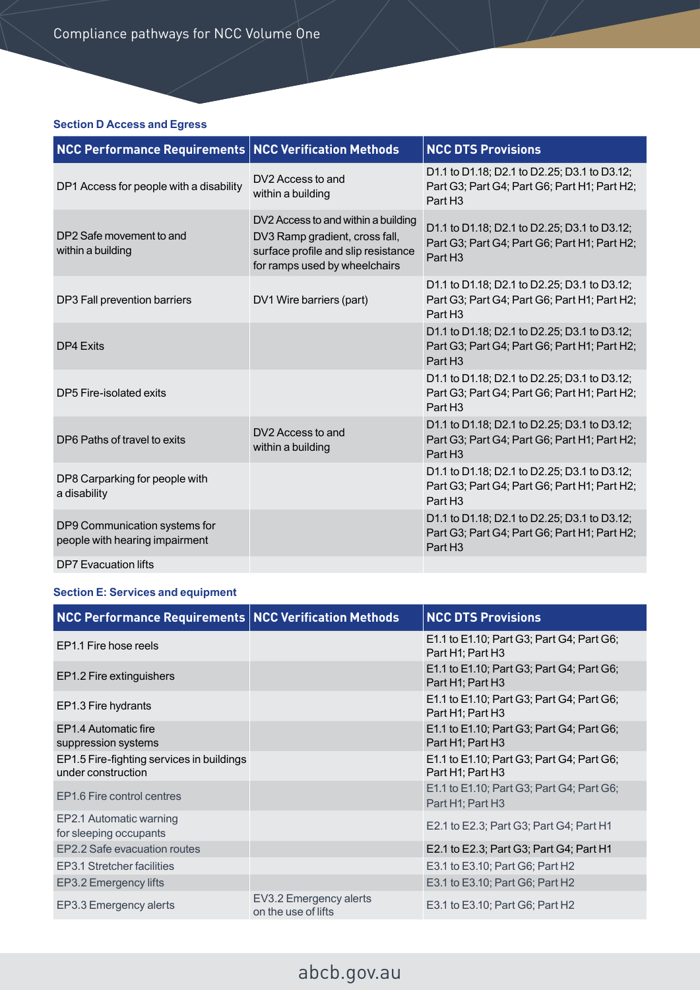### **Section D Access and Egress**

| <b>NCC Performance Requirements   NCC Verification Methods</b>  |                                                                                                                                               | <b>NCC DTS Provisions</b>                                                                                           |
|-----------------------------------------------------------------|-----------------------------------------------------------------------------------------------------------------------------------------------|---------------------------------------------------------------------------------------------------------------------|
| DP1 Access for people with a disability                         | DV2 Access to and<br>within a building                                                                                                        | D1.1 to D1.18; D2.1 to D2.25; D3.1 to D3.12;<br>Part G3; Part G4; Part G6; Part H1; Part H2;<br>Part H <sub>3</sub> |
| DP2 Safe movement to and<br>within a building                   | DV2 Access to and within a building<br>DV3 Ramp gradient, cross fall,<br>surface profile and slip resistance<br>for ramps used by wheelchairs | D1.1 to D1.18; D2.1 to D2.25; D3.1 to D3.12;<br>Part G3; Part G4; Part G6; Part H1; Part H2;<br>Part H <sub>3</sub> |
| DP3 Fall prevention barriers                                    | DV1 Wire barriers (part)                                                                                                                      | D1.1 to D1.18; D2.1 to D2.25; D3.1 to D3.12;<br>Part G3; Part G4; Part G6; Part H1; Part H2;<br>Part H <sub>3</sub> |
| DP4 Fxits                                                       |                                                                                                                                               | D1.1 to D1.18; D2.1 to D2.25; D3.1 to D3.12;<br>Part G3; Part G4; Part G6; Part H1; Part H2;<br>Part H <sub>3</sub> |
| DP5 Fire-isolated exits                                         |                                                                                                                                               | D1.1 to D1.18; D2.1 to D2.25; D3.1 to D3.12;<br>Part G3; Part G4; Part G6; Part H1; Part H2;<br>Part H <sub>3</sub> |
| DP6 Paths of travel to exits                                    | DV2 Access to and<br>within a building                                                                                                        | D1.1 to D1.18; D2.1 to D2.25; D3.1 to D3.12;<br>Part G3; Part G4; Part G6; Part H1; Part H2;<br>Part H <sub>3</sub> |
| DP8 Carparking for people with<br>a disability                  |                                                                                                                                               | D1.1 to D1.18; D2.1 to D2.25; D3.1 to D3.12;<br>Part G3; Part G4; Part G6; Part H1; Part H2;<br>Part H <sub>3</sub> |
| DP9 Communication systems for<br>people with hearing impairment |                                                                                                                                               | D1.1 to D1.18; D2.1 to D2.25; D3.1 to D3.12;<br>Part G3; Part G4; Part G6; Part H1; Part H2;<br>Part H <sub>3</sub> |
| <b>DP7</b> Evacuation lifts                                     |                                                                                                                                               |                                                                                                                     |

### **Section E: Services and equipment**

| NCC Performance Requirements   NCC Verification Methods         |                                               | <b>NCC DTS Provisions</b>                                     |
|-----------------------------------------------------------------|-----------------------------------------------|---------------------------------------------------------------|
| EP1.1 Fire hose reels                                           |                                               | E1.1 to E1.10; Part G3; Part G4; Part G6;<br>Part H1; Part H3 |
| EP1.2 Fire extinguishers                                        |                                               | E1.1 to E1.10; Part G3; Part G4; Part G6;<br>Part H1; Part H3 |
| EP1.3 Fire hydrants                                             |                                               | E1.1 to E1.10; Part G3; Part G4; Part G6;<br>Part H1; Part H3 |
| EP1.4 Automatic fire<br>suppression systems                     |                                               | E1.1 to E1.10; Part G3; Part G4; Part G6;<br>Part H1; Part H3 |
| EP1.5 Fire-fighting services in buildings<br>under construction |                                               | E1.1 to E1.10; Part G3; Part G4; Part G6;<br>Part H1; Part H3 |
| EP1.6 Fire control centres                                      |                                               | E1.1 to E1.10; Part G3; Part G4; Part G6;<br>Part H1; Part H3 |
| EP2.1 Automatic warning<br>for sleeping occupants               |                                               | E2.1 to E2.3; Part G3; Part G4; Part H1                       |
| EP2.2 Safe evacuation routes                                    |                                               | E2.1 to E2.3; Part G3; Part G4; Part H1                       |
| EP3.1 Stretcher facilities                                      |                                               | E3.1 to E3.10; Part G6; Part H2                               |
| EP3.2 Emergency lifts                                           |                                               | E3.1 to E3.10; Part G6; Part H2                               |
| EP3.3 Emergency alerts                                          | EV3.2 Emergency alerts<br>on the use of lifts | E3.1 to E3.10; Part G6; Part H2                               |

# [abcb.gov.au](http://abcb.gov.au)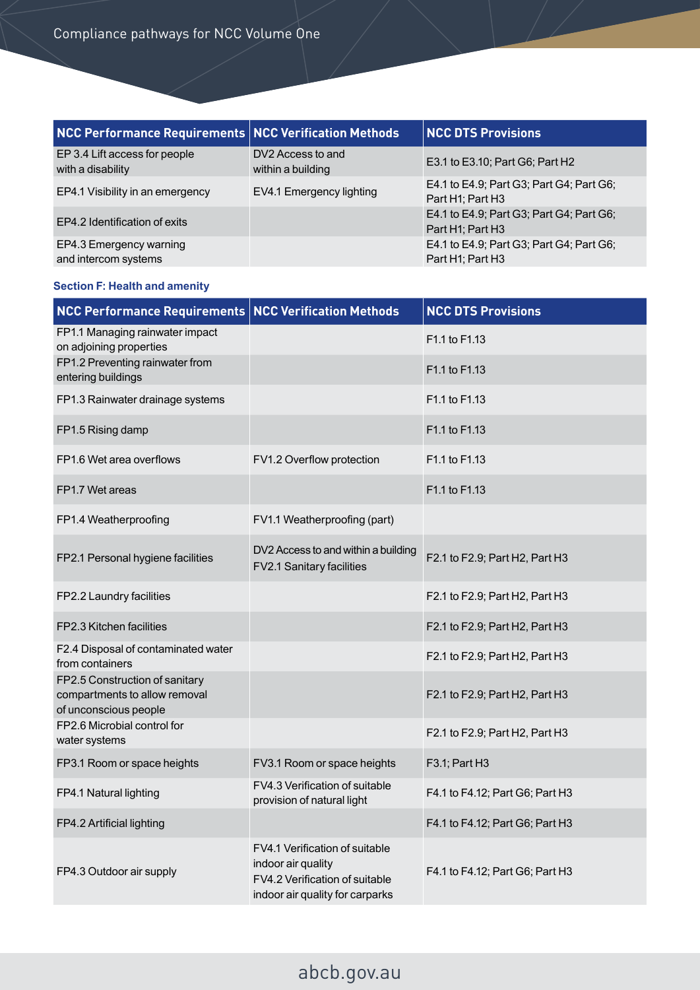| NCC Performance Requirements NCC Verification Methods |                                        | <b>NCC DTS Provisions</b>                                    |
|-------------------------------------------------------|----------------------------------------|--------------------------------------------------------------|
| EP 3.4 Lift access for people<br>with a disability    | DV2 Access to and<br>within a building | E3.1 to E3.10; Part G6; Part H2                              |
| EP4.1 Visibility in an emergency                      | EV4.1 Emergency lighting               | E4.1 to E4.9; Part G3; Part G4; Part G6;<br>Part H1; Part H3 |
| EP4.2 Identification of exits                         |                                        | E4.1 to E4.9; Part G3; Part G4; Part G6;<br>Part H1; Part H3 |
| EP4.3 Emergency warning<br>and intercom systems       |                                        | E4.1 to E4.9; Part G3; Part G4; Part G6;<br>Part H1; Part H3 |

## **Section F: Health and amenity**

| <b>NCC Performance Requirements NCC Verification Methods</b>                             |                                                                                                                           | <b>NCC DTS Provisions</b>             |
|------------------------------------------------------------------------------------------|---------------------------------------------------------------------------------------------------------------------------|---------------------------------------|
| FP1.1 Managing rainwater impact<br>on adjoining properties                               |                                                                                                                           | F <sub>1.1</sub> to F <sub>1.13</sub> |
| FP1.2 Preventing rainwater from<br>entering buildings                                    |                                                                                                                           | F1.1 to F1.13                         |
| FP1.3 Rainwater drainage systems                                                         |                                                                                                                           | F1.1 to F1.13                         |
| FP1.5 Rising damp                                                                        |                                                                                                                           | F1.1 to F1.13                         |
| FP1.6 Wet area overflows                                                                 | FV1.2 Overflow protection                                                                                                 | F <sub>1.1</sub> to F <sub>1.13</sub> |
| FP1.7 Wet areas                                                                          |                                                                                                                           | F1.1 to F1.13                         |
| FP1.4 Weatherproofing                                                                    | FV1.1 Weatherproofing (part)                                                                                              |                                       |
| FP2.1 Personal hygiene facilities                                                        | DV2 Access to and within a building<br>FV2.1 Sanitary facilities                                                          | F2.1 to F2.9; Part H2, Part H3        |
| FP2.2 Laundry facilities                                                                 |                                                                                                                           | F2.1 to F2.9; Part H2, Part H3        |
| FP2.3 Kitchen facilities                                                                 |                                                                                                                           | F2.1 to F2.9; Part H2, Part H3        |
| F2.4 Disposal of contaminated water<br>from containers                                   |                                                                                                                           | F2.1 to F2.9; Part H2, Part H3        |
| FP2.5 Construction of sanitary<br>compartments to allow removal<br>of unconscious people |                                                                                                                           | F2.1 to F2.9; Part H2, Part H3        |
| FP2.6 Microbial control for<br>water systems                                             |                                                                                                                           | F2.1 to F2.9; Part H2, Part H3        |
| FP3.1 Room or space heights                                                              | FV3.1 Room or space heights                                                                                               | F3.1; Part H3                         |
| FP4.1 Natural lighting                                                                   | FV4.3 Verification of suitable<br>provision of natural light                                                              | F4.1 to F4.12; Part G6; Part H3       |
| FP4.2 Artificial lighting                                                                |                                                                                                                           | F4.1 to F4.12; Part G6; Part H3       |
| FP4.3 Outdoor air supply                                                                 | FV4.1 Verification of suitable<br>indoor air quality<br>FV4.2 Verification of suitable<br>indoor air quality for carparks | F4.1 to F4.12; Part G6; Part H3       |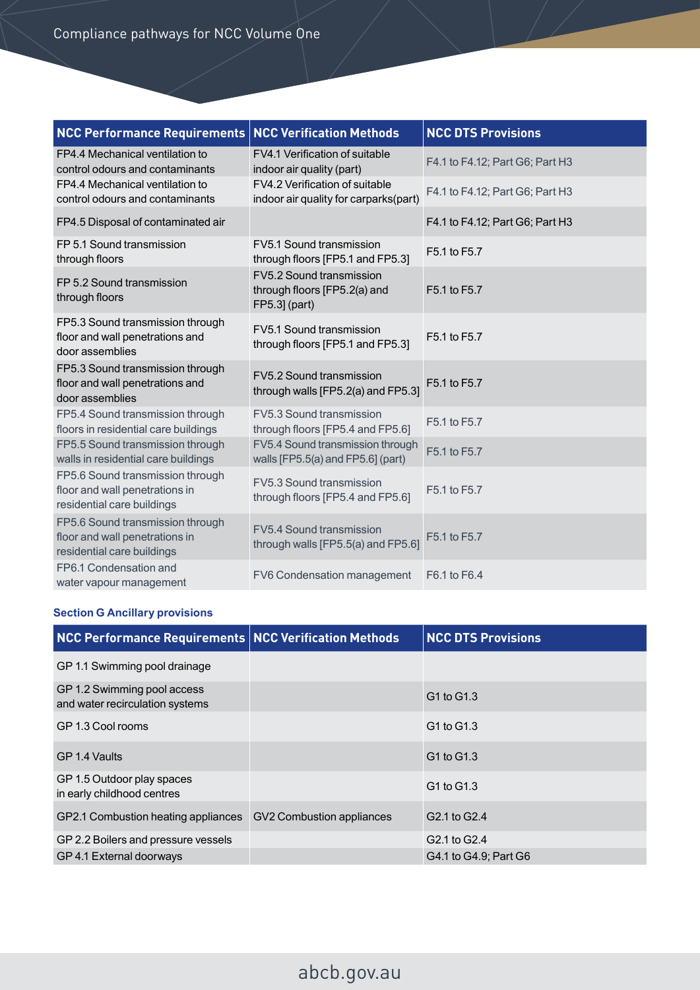| <b>NCC Performance Requirements</b>                                                              | <b>NCC Verification Methods</b>                                           | <b>NCC DTS Provisions</b>       |
|--------------------------------------------------------------------------------------------------|---------------------------------------------------------------------------|---------------------------------|
| FP4.4 Mechanical ventilation to<br>control odours and contaminants                               | FV4.1 Verification of suitable<br>indoor air quality (part)               | F4.1 to F4.12; Part G6; Part H3 |
| FP4.4 Mechanical ventilation to<br>control odours and contaminants                               | FV4.2 Verification of suitable<br>indoor air quality for carparks(part)   | F4.1 to F4.12; Part G6; Part H3 |
| FP4.5 Disposal of contaminated air                                                               |                                                                           | F4.1 to F4.12; Part G6; Part H3 |
| FP 5.1 Sound transmission<br>through floors                                                      | FV5.1 Sound transmission<br>through floors [FP5.1 and FP5.3]              | F5.1 to F5.7                    |
| FP 5.2 Sound transmission<br>through floors                                                      | FV5.2 Sound transmission<br>through floors [FP5.2(a) and<br>FP5.3] (part) | F5.1 to F5.7                    |
| FP5.3 Sound transmission through<br>floor and wall penetrations and<br>door assemblies           | FV5.1 Sound transmission<br>through floors [FP5.1 and FP5.3]              | F5.1 to F5.7                    |
| FP5.3 Sound transmission through<br>floor and wall penetrations and<br>door assemblies           | FV5.2 Sound transmission<br>through walls [FP5.2(a) and FP5.3]            | F5.1 to F5.7                    |
| FP5.4 Sound transmission through<br>floors in residential care buildings                         | FV5.3 Sound transmission<br>through floors [FP5.4 and FP5.6]              | F5.1 to F5.7                    |
| FP5.5 Sound transmission through<br>walls in residential care buildings                          | FV5.4 Sound transmission through<br>walls [FP5.5(a) and FP5.6] (part)     | F5.1 to F5.7                    |
| FP5.6 Sound transmission through<br>floor and wall penetrations in<br>residential care buildings | FV5.3 Sound transmission<br>through floors [FP5.4 and FP5.6]              | F5.1 to F5.7                    |
| FP5.6 Sound transmission through<br>floor and wall penetrations in<br>residential care buildings | FV5.4 Sound transmission<br>through walls [FP5.5(a) and FP5.6]            | F5.1 to F5.7                    |
| FP6.1 Condensation and<br>water vapour management                                                | FV6 Condensation management                                               | F6.1 to F6.4                    |

### **Section G Ancillary provisions**

| NCC Performance Requirements NCC Verification Methods          |                           | <b>NCC DTS Provisions</b> |
|----------------------------------------------------------------|---------------------------|---------------------------|
| GP 1.1 Swimming pool drainage                                  |                           |                           |
| GP 1.2 Swimming pool access<br>and water recirculation systems |                           | G1 to G1.3                |
| GP 1.3 Cool rooms                                              |                           | G1 to G1.3                |
| GP 1.4 Vaults                                                  |                           | G1 to G1.3                |
| GP 1.5 Outdoor play spaces<br>in early childhood centres       |                           | G1 to G1.3                |
| GP2.1 Combustion heating appliances                            | GV2 Combustion appliances | G2.1 to G2.4              |
| GP 2.2 Boilers and pressure vessels                            |                           | G2.1 to G2.4              |
| GP 4.1 External doorways                                       |                           | G4.1 to G4.9; Part G6     |